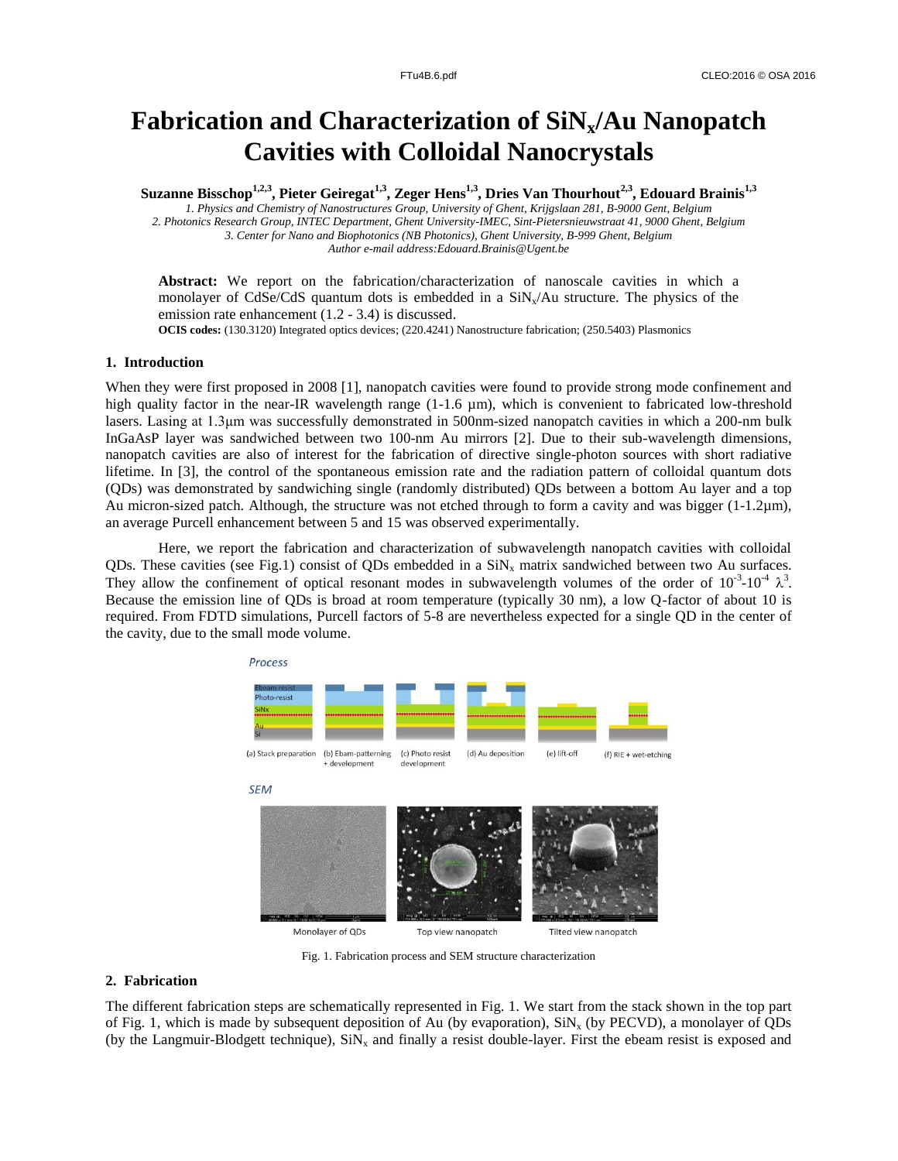# **Fabrication and Characterization of SiNx/Au Nanopatch Cavities with Colloidal Nanocrystals**

**Suzanne Bisschop1,2,3, Pieter Geiregat1,3, Zeger Hens1,3, Dries Van Thourhout2,3, Edouard Brainis1,3**

*1. Physics and Chemistry of Nanostructures Group, University of Ghent, Krijgslaan 281, B-9000 Gent, Belgium 2. Photonics Research Group, INTEC Department, Ghent University-IMEC, Sint-Pietersnieuwstraat 41, 9000 Ghent, Belgium 3. Center for Nano and Biophotonics (NB Photonics), Ghent University, B-999 Ghent, Belgium Author e-mail address:Edouard.Brainis@Ugent.be*

**Abstract:** We report on the fabrication/characterization of nanoscale cavities in which a monolayer of CdSe/CdS quantum dots is embedded in a  $\text{SiN}_{\rm s}/\text{Au}$  structure. The physics of the emission rate enhancement (1.2 - 3.4) is discussed.

**OCIS codes:** (130.3120) Integrated optics devices; (220.4241) Nanostructure fabrication; (250.5403) Plasmonics

# **1. Introduction**

When they were first proposed in 2008 [1], nanopatch cavities were found to provide strong mode confinement and high quality factor in the near-IR wavelength range (1-1.6 µm), which is convenient to fabricated low-threshold lasers. Lasing at 1.3μm was successfully demonstrated in 500nm-sized nanopatch cavities in which a 200-nm bulk InGaAsP layer was sandwiched between two 100-nm Au mirrors [2]. Due to their sub-wavelength dimensions, nanopatch cavities are also of interest for the fabrication of directive single-photon sources with short radiative lifetime. In [3], the control of the spontaneous emission rate and the radiation pattern of colloidal quantum dots (QDs) was demonstrated by sandwiching single (randomly distributed) QDs between a bottom Au layer and a top Au micron-sized patch. Although, the structure was not etched through to form a cavity and was bigger  $(1-1.2\mu m)$ , an average Purcell enhancement between 5 and 15 was observed experimentally.

Here, we report the fabrication and characterization of subwavelength nanopatch cavities with colloidal QDs. These cavities (see Fig.1) consist of QDs embedded in a  $\text{SiN}_x$  matrix sandwiched between two Au surfaces. They allow the confinement of optical resonant modes in subwavelength volumes of the order of  $10^{-3}$ - $10^{-4}$   $\lambda^3$ . Because the emission line of QDs is broad at room temperature (typically 30 nm), a low Q-factor of about 10 is required. From FDTD simulations, Purcell factors of 5-8 are nevertheless expected for a single QD in the center of the cavity, due to the small mode volume.



Fig. 1. Fabrication process and SEM structure characterization

# **2. Fabrication**

The different fabrication steps are schematically represented in Fig. 1. We start from the stack shown in the top part of Fig. 1, which is made by subsequent deposition of Au (by evaporation),  $\text{SiN}_x$  (by PECVD), a monolayer of QDs (by the Langmuir-Blodgett technique),  $SiN<sub>x</sub>$  and finally a resist double-layer. First the ebeam resist is exposed and